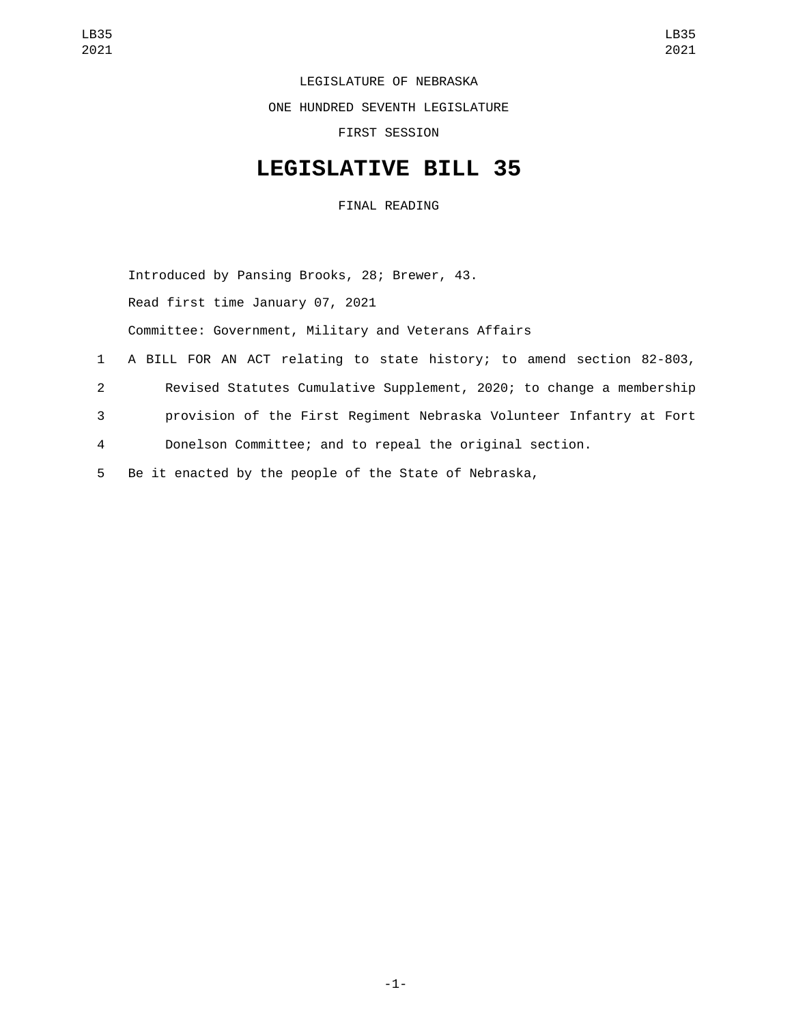LEGISLATURE OF NEBRASKA

ONE HUNDRED SEVENTH LEGISLATURE

FIRST SESSION

## **LEGISLATIVE BILL 35**

FINAL READING

Introduced by Pansing Brooks, 28; Brewer, 43. Read first time January 07, 2021 Committee: Government, Military and Veterans Affairs A BILL FOR AN ACT relating to state history; to amend section 82-803, Revised Statutes Cumulative Supplement, 2020; to change a membership provision of the First Regiment Nebraska Volunteer Infantry at Fort Donelson Committee; and to repeal the original section. Be it enacted by the people of the State of Nebraska,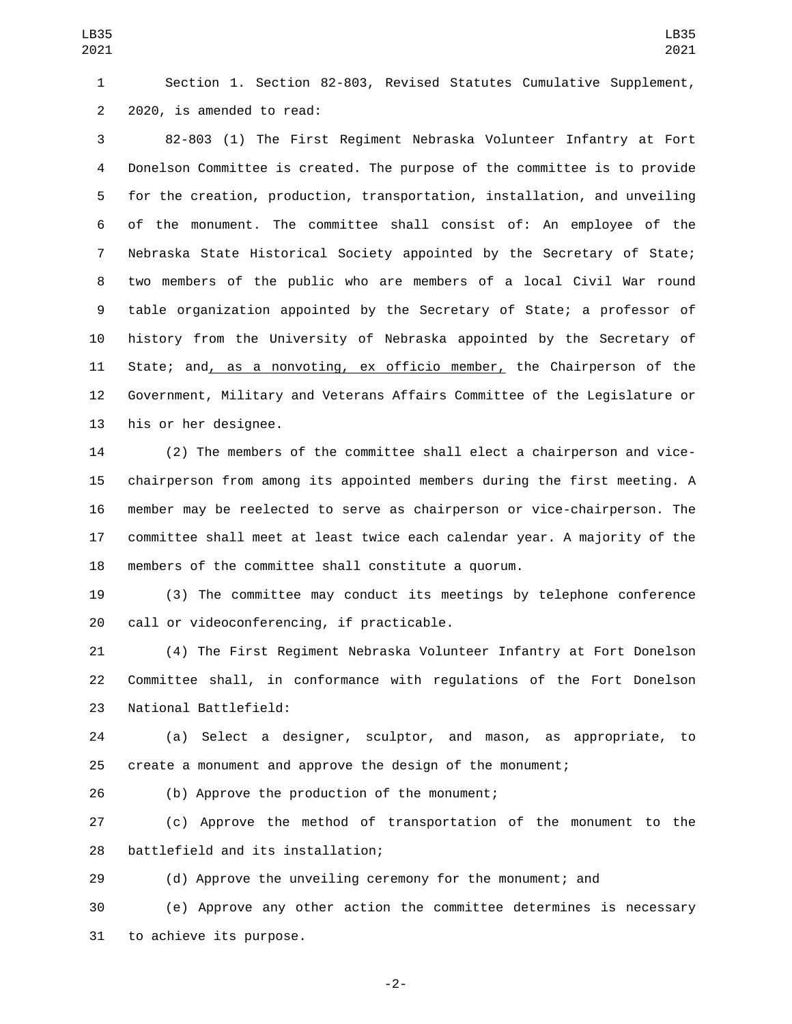Section 1. Section 82-803, Revised Statutes Cumulative Supplement, 2 2020, is amended to read:

 82-803 (1) The First Regiment Nebraska Volunteer Infantry at Fort Donelson Committee is created. The purpose of the committee is to provide for the creation, production, transportation, installation, and unveiling of the monument. The committee shall consist of: An employee of the Nebraska State Historical Society appointed by the Secretary of State; two members of the public who are members of a local Civil War round table organization appointed by the Secretary of State; a professor of history from the University of Nebraska appointed by the Secretary of 11 State; and, as a nonvoting, ex officio member, the Chairperson of the Government, Military and Veterans Affairs Committee of the Legislature or 13 his or her designee.

 (2) The members of the committee shall elect a chairperson and vice- chairperson from among its appointed members during the first meeting. A member may be reelected to serve as chairperson or vice-chairperson. The committee shall meet at least twice each calendar year. A majority of the members of the committee shall constitute a quorum.

 (3) The committee may conduct its meetings by telephone conference 20 call or videoconferencing, if practicable.

 (4) The First Regiment Nebraska Volunteer Infantry at Fort Donelson Committee shall, in conformance with regulations of the Fort Donelson 23 National Battlefield:

 (a) Select a designer, sculptor, and mason, as appropriate, to create a monument and approve the design of the monument;

26 (b) Approve the production of the monument;

 (c) Approve the method of transportation of the monument to the 28 battlefield and its installation;

(d) Approve the unveiling ceremony for the monument; and

 (e) Approve any other action the committee determines is necessary 31 to achieve its purpose.

-2-